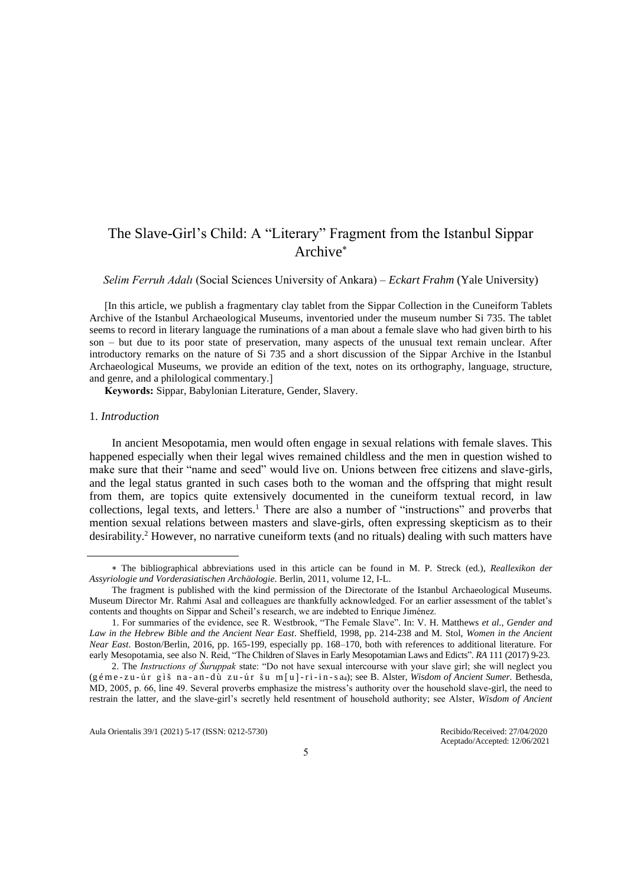# The Slave-Girl's Child: A "Literary" Fragment from the Istanbul Sippar Archive

*Selim Ferruh Adalı* (Social Sciences University of Ankara) ‒ *Eckart Frahm* (Yale University)

[In this article, we publish a fragmentary clay tablet from the Sippar Collection in the Cuneiform Tablets Archive of the Istanbul Archaeological Museums, inventoried under the museum number Si 735. The tablet seems to record in literary language the ruminations of a man about a female slave who had given birth to his son – but due to its poor state of preservation, many aspects of the unusual text remain unclear. After introductory remarks on the nature of Si 735 and a short discussion of the Sippar Archive in the Istanbul Archaeological Museums, we provide an edition of the text, notes on its orthography, language, structure, and genre, and a philological commentary.]

**Keywords:** Sippar, Babylonian Literature, Gender, Slavery.

#### 1. *Introduction*

In ancient Mesopotamia, men would often engage in sexual relations with female slaves. This happened especially when their legal wives remained childless and the men in question wished to make sure that their "name and seed" would live on. Unions between free citizens and slave-girls, and the legal status granted in such cases both to the woman and the offspring that might result from them, are topics quite extensively documented in the cuneiform textual record, in law collections, legal texts, and letters.<sup>1</sup> There are also a number of "instructions" and proverbs that mention sexual relations between masters and slave-girls, often expressing skepticism as to their desirability.<sup>2</sup> However, no narrative cuneiform texts (and no rituals) dealing with such matters have

The bibliographical abbreviations used in this article can be found in M. P. Streck (ed.), *Reallexikon der Assyriologie und Vorderasiatischen Archäologie*. Berlin, 2011, volume 12, I-L.

The fragment is published with the kind permission of the Directorate of the Istanbul Archaeological Museums. Museum Director Mr. Rahmi Asal and colleagues are thankfully acknowledged. For an earlier assessment of the tablet's contents and thoughts on Sippar and Scheil's research, we are indebted to Enrique Jiménez.

<sup>1.</sup> For summaries of the evidence, see R. Westbrook, "The Female Slave". In: V. H. Matthews *et al*., *Gender and Law in the Hebrew Bible and the Ancient Near East*. Sheffield, 1998, pp. 214-238 and M. Stol, *Women in the Ancient Near East*. Boston/Berlin, 2016, pp. 165-199, especially pp. 168–170, both with references to additional literature. For early Mesopotamia, see also N. Reid, "The Children of Slaves in Early Mesopotamian Laws and Edicts". *RA* 111 (2017) 9-23.

<sup>2.</sup> The *Instructions of Šuruppak* state: "Do not have sexual intercourse with your slave girl; she will neglect you (g é m e - z u - ú r g ì š n a - a n - d ù z u - ú r š u m [ u ] -r i -i n -s a4); see B. Alster, *Wisdom of Ancient Sumer.* Bethesda, MD, 2005, p. 66, line 49. Several proverbs emphasize the mistress's authority over the household slave-girl, the need to restrain the latter, and the slave-girl's secretly held resentment of household authority; see Alster, *Wisdom of Ancient*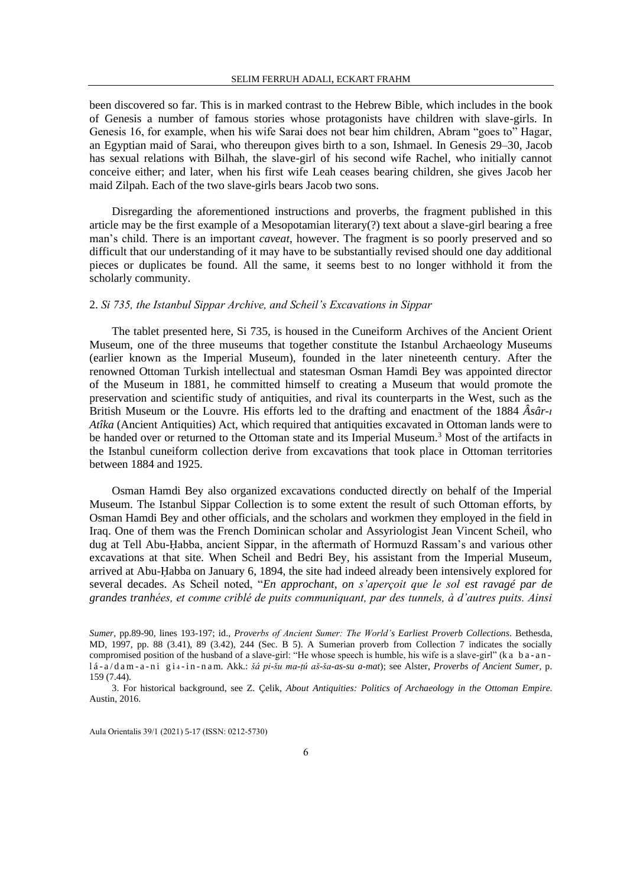been discovered so far. This is in marked contrast to the Hebrew Bible, which includes in the book of Genesis a number of famous stories whose protagonists have children with slave-girls. In Genesis 16, for example, when his wife Sarai does not bear him children, Abram "goes to" Hagar, an Egyptian maid of Sarai, who thereupon gives birth to a son, Ishmael. In Genesis 29–30, Jacob has sexual relations with Bilhah, the slave-girl of his second wife Rachel, who initially cannot conceive either; and later, when his first wife Leah ceases bearing children, she gives Jacob her maid Zilpah. Each of the two slave-girls bears Jacob two sons.

Disregarding the aforementioned instructions and proverbs, the fragment published in this article may be the first example of a Mesopotamian literary(?) text about a slave-girl bearing a free man's child. There is an important *caveat*, however. The fragment is so poorly preserved and so difficult that our understanding of it may have to be substantially revised should one day additional pieces or duplicates be found. All the same, it seems best to no longer withhold it from the scholarly community.

# 2. *Si 735, the Istanbul Sippar Archive, and Scheil's Excavations in Sippar*

The tablet presented here, Si 735, is housed in the Cuneiform Archives of the Ancient Orient Museum, one of the three museums that together constitute the Istanbul Archaeology Museums (earlier known as the Imperial Museum), founded in the later nineteenth century. After the renowned Ottoman Turkish intellectual and statesman Osman Hamdi Bey was appointed director of the Museum in 1881, he committed himself to creating a Museum that would promote the preservation and scientific study of antiquities, and rival its counterparts in the West, such as the British Museum or the Louvre. His efforts led to the drafting and enactment of the 1884 *Âsâr-ı Atîka* (Ancient Antiquities) Act, which required that antiquities excavated in Ottoman lands were to be handed over or returned to the Ottoman state and its Imperial Museum.<sup>3</sup> Most of the artifacts in the Istanbul cuneiform collection derive from excavations that took place in Ottoman territories between 1884 and 1925.

Osman Hamdi Bey also organized excavations conducted directly on behalf of the Imperial Museum. The Istanbul Sippar Collection is to some extent the result of such Ottoman efforts, by Osman Hamdi Bey and other officials, and the scholars and workmen they employed in the field in Iraq. One of them was the French Dominican scholar and Assyriologist Jean Vincent Scheil, who dug at Tell Abu-Ḥabba, ancient Sippar, in the aftermath of Hormuzd Rassam's and various other excavations at that site. When Scheil and Bedri Bey, his assistant from the Imperial Museum, arrived at Abu-Ḥabba on January 6, 1894, the site had indeed already been intensively explored for several decades. As Scheil noted, "*En approchant, on s'aperçoit que le sol est ravagé par de grandes tranhées, et comme criblé de puits communiquant, par des tunnels, à d'autres puits. Ainsi* 

*Sumer*, pp.89-90, lines 193-197; id., *Proverbs of Ancient Sumer: The World's Earliest Proverb Collections*. Bethesda, MD, 1997, pp. 88 (3.41), 89 (3.42), 244 (Sec. B 5). A Sumerian proverb from Collection 7 indicates the socially compromised position of the husband of a slave-girl: "He whose speech is humble, his wife is a slave-girl" (k a b a - a n l á - a / d a m - a - n i g i <sup>4</sup> -i n - n a m. Akk.: *šá pi-šu ma-ṭú aš-ša-as-su a-mat*); see Alster, *Proverbs of Ancient Sumer*, p. 159 (7.44).

3. For historical background, see Z. Çelik, *About Antiquities: Politics of Archaeology in the Ottoman Empire*. Austin, 2016.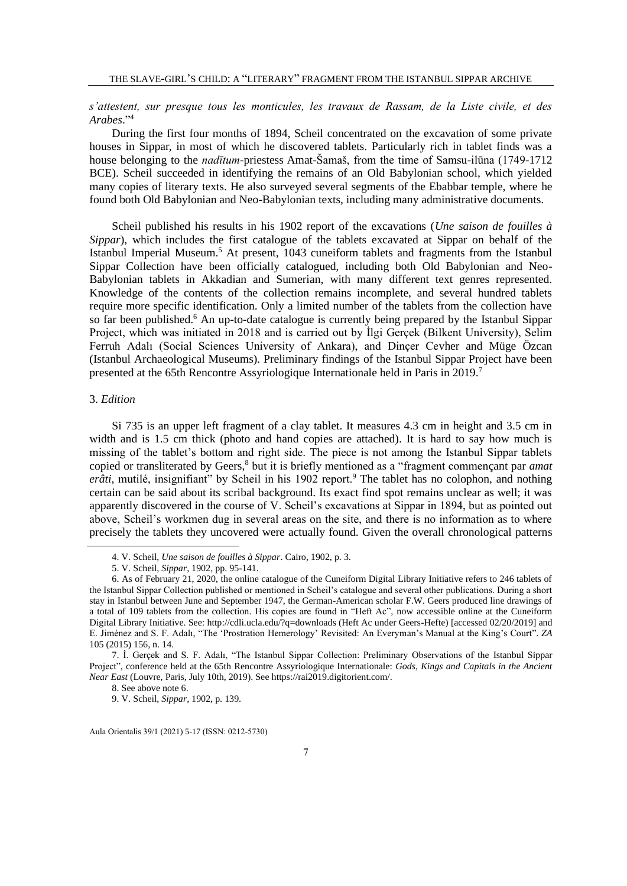# *s'attestent, sur presque tous les monticules, les travaux de Rassam, de la Liste civile, et des Arabes*." 4

During the first four months of 1894, Scheil concentrated on the excavation of some private houses in Sippar, in most of which he discovered tablets. Particularly rich in tablet finds was a house belonging to the *nadītum*-priestess Amat-Šamaš, from the time of Samsu-ilūna (1749-1712 BCE). Scheil succeeded in identifying the remains of an Old Babylonian school, which yielded many copies of literary texts. He also surveyed several segments of the Ebabbar temple, where he found both Old Babylonian and Neo-Babylonian texts, including many administrative documents.

Scheil published his results in his 1902 report of the excavations (*Une saison de fouilles à Sippar*), which includes the first catalogue of the tablets excavated at Sippar on behalf of the Istanbul Imperial Museum.<sup>5</sup> At present, 1043 cuneiform tablets and fragments from the Istanbul Sippar Collection have been officially catalogued, including both Old Babylonian and Neo-Babylonian tablets in Akkadian and Sumerian, with many different text genres represented. Knowledge of the contents of the collection remains incomplete, and several hundred tablets require more specific identification. Only a limited number of the tablets from the collection have so far been published.<sup>6</sup> An up-to-date catalogue is currently being prepared by the Istanbul Sippar Project, which was initiated in 2018 and is carried out by İlgi Gerçek (Bilkent University), Selim Ferruh Adalı (Social Sciences University of Ankara), and Dinçer Cevher and Müge Özcan (Istanbul Archaeological Museums). Preliminary findings of the Istanbul Sippar Project have been presented at the 65th Rencontre Assyriologique Internationale held in Paris in 2019.<sup>7</sup>

# 3. *Edition*

Si 735 is an upper left fragment of a clay tablet. It measures 4.3 cm in height and 3.5 cm in width and is 1.5 cm thick (photo and hand copies are attached). It is hard to say how much is missing of the tablet's bottom and right side. The piece is not among the Istanbul Sippar tablets copied or transliterated by Geers,<sup>8</sup> but it is briefly mentioned as a "fragment commençant par *amat erâti*, mutilé, insignifiant" by Scheil in his 1902 report.<sup>9</sup> The tablet has no colophon, and nothing certain can be said about its scribal background. Its exact find spot remains unclear as well; it was apparently discovered in the course of V. Scheil's excavations at Sippar in 1894, but as pointed out above, Scheil's workmen dug in several areas on the site, and there is no information as to where precisely the tablets they uncovered were actually found. Given the overall chronological patterns

<sup>4.</sup> V. Scheil, *Une saison de fouilles à Sippar*. Cairo, 1902, p. 3.

<sup>5.</sup> V. Scheil, *Sippar*, 1902, pp. 95-141.

<sup>6.</sup> As of February 21, 2020, the online catalogue of the Cuneiform Digital Library Initiative refers to 246 tablets of the Istanbul Sippar Collection published or mentioned in Scheil's catalogue and several other publications. During a short stay in Istanbul between June and September 1947, the German-American scholar F.W. Geers produced line drawings of a total of 109 tablets from the collection. His copies are found in "Heft Ac", now accessible online at the Cuneiform Digital Library Initiative. See: http://cdli.ucla.edu/?q=downloads (Heft Ac under Geers-Hefte) [accessed 02/20/2019] and E. Jiménez and S. F. Adalı, "The 'Prostration Hemerology' Revisited: An Everyman's Manual at the King's Court". *ZA*  105 (2015) 156, n. 14.

<sup>7.</sup> İ. Gerçek and S. F. Adalı, "The Istanbul Sippar Collection: Preliminary Observations of the Istanbul Sippar Project", conference held at the 65th Rencontre Assyriologique Internationale: *Gods, Kings and Capitals in the Ancient Near East* (Louvre, Paris, July 10th, 2019). See https://rai2019.digitorient.com/.

<sup>8.</sup> See above note 6.

<sup>9.</sup> V. Scheil, *Sippar*, 1902, p. 139.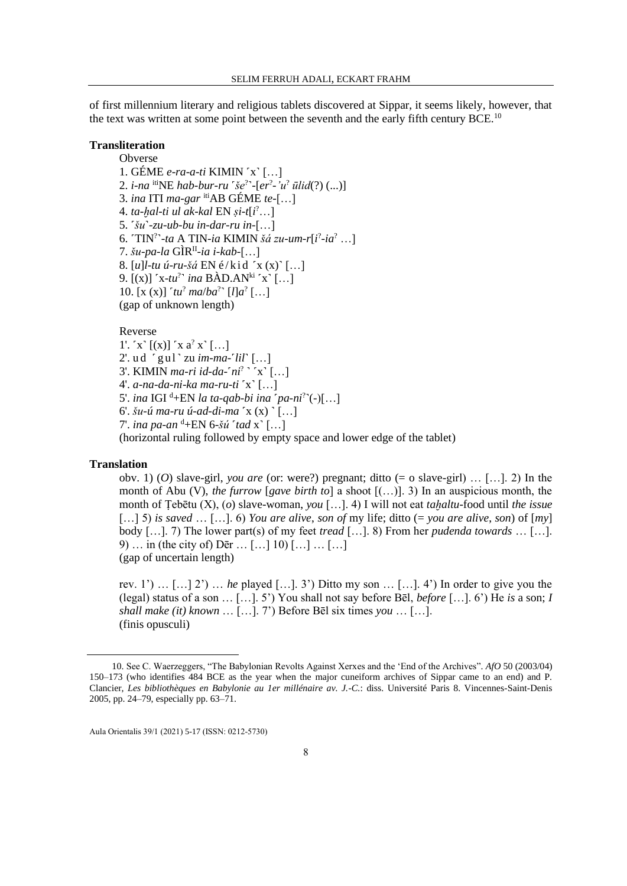of first millennium literary and religious tablets discovered at Sippar, it seems likely, however, that the text was written at some point between the seventh and the early fifth century BCE.<sup>10</sup>

## **Transliteration**

**Obverse** 

1. GÉME *e-ra-a-ti* KIMIN ˹x˺ […] 2. *i-na* itiNE *hab-bur-ru* ˹*še*? ˺-[*er*? *-'u*? *ūlid*(?) (...)] 3. *ina* ITI *ma-gar* itiAB GÉME *te*-[…] 4. *ta-ḫal-ti ul ak-kal* EN *ṣi-t*[*i* ?…] 5. ˹*šu*˺*-zu-ub-bu in-dar-ru in*-[…] 6. ˹TIN? ˺-*ta* A TIN-*ia* KIMIN *šá zu-um*-*r*[*i* ? -*ia*? …] 7. *šu-pa-la* GÌRII -*ia i-kab*-[…] 8. [*u*]*l*-*tu ú*-*ru-šá* EN é / k i d ˹x (x)˺ […] 9. [(x)] 'x-tu<sup>?</sup>' ina BÀD.AN<sup>ki</sup> 'x' [...] 10.  $[x (x)]^t t u^2 ma/b a^2^t [l] a^2 [...]$ (gap of unknown length)

#### Reverse

1'.  $x \left[ (x) \right]$   $x a^2 x \left[ ... \right]$ 2'. u d ˹ gul˺ zu *im-ma-*˹*lil*˺ […] 3'. KIMIN *ma-ri id-da-'ni*<sup>?</sup> ' 'x' [...] 4'. *a-na-da-ni-ka ma-ru-ti* ˹x˺ […] 5'. *ina* IGI <sup>d</sup>+EN *la ta-qab-bi ina 'pa-ni*<sup>?</sup>'(-)[...] 6'. *šu-ú ma-ru ú-ad-di-ma* ˹x (x) ˺ […] 7'. *ina pa-an* <sup>d</sup>+EN 6-*šú* ˹*tad* x˺ […] (horizontal ruling followed by empty space and lower edge of the tablet)

### **Translation**

obv. 1) (*O*) slave-girl, *you are* (or: were?) pregnant; ditto (= o slave-girl) … […]. 2) In the month of Abu (V), *the furrow* [*gave birth to*] a shoot [(…)]. 3) In an auspicious month, the month of Ṭebētu (X), (*o*) slave-woman, *you* […]. 4) I will not eat *taḫaltu-*food until *the issue* […] 5) *is saved* … […]. 6) *You are alive*, *son of* my life; ditto (= *you are alive*, *son*) of [*my*] body […]. 7) The lower part(s) of my feet *tread* […]. 8) From her *pudenda towards* … […]. 9) … in (the city of) Dēr … […] 10) […] … […] (gap of uncertain length)

rev. 1') … […] 2') … *he* played […]. 3') Ditto my son … […]. 4') In order to give you the (legal) status of a son … […]. 5') You shall not say before Bēl, *before* […]. 6') He *is* a son; *I shall make (it) known* … […]. 7') Before Bēl six times *you* … […]. (finis opusculi)

<sup>10.</sup> See C. Waerzeggers, "The Babylonian Revolts Against Xerxes and the 'End of the Archives". *AfO* 50 (2003/04) 150–173 (who identifies 484 BCE as the year when the major cuneiform archives of Sippar came to an end) and P. Clancier, *Les bibliothèques en Babylonie au 1er millénaire av. J.-C.*: diss. Université Paris 8. Vincennes-Saint-Denis 2005, pp. 24–79, especially pp. 63–71.

Aula Orientalis 39/1 (2021) 5-17 (ISSN: 0212-5730)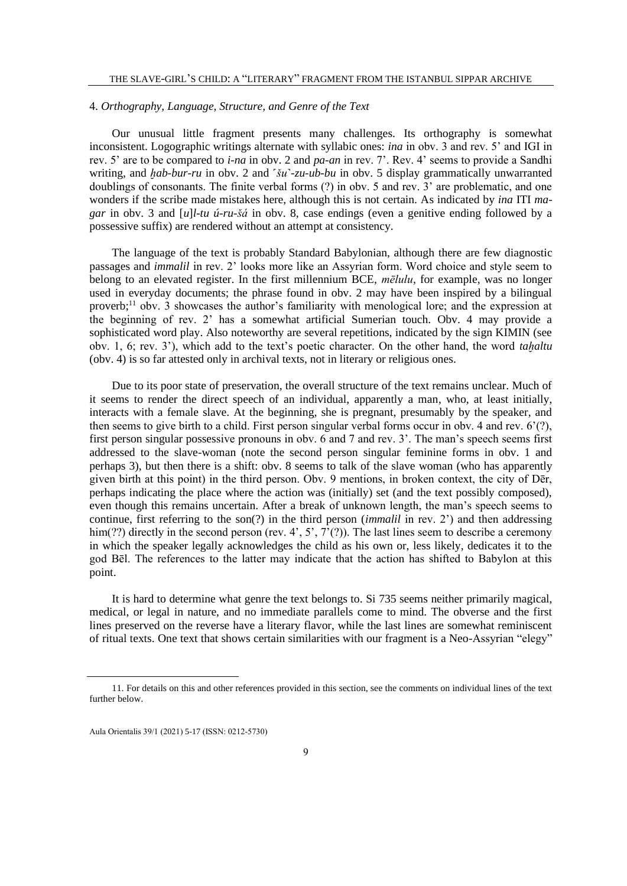### 4. *Orthography, Language, Structure, and Genre of the Text*

Our unusual little fragment presents many challenges. Its orthography is somewhat inconsistent. Logographic writings alternate with syllabic ones: *ina* in obv. 3 and rev. 5' and IGI in rev. 5' are to be compared to *i-na* in obv. 2 and *pa-an* in rev. 7'. Rev. 4' seems to provide a Sandhi writing, and *hab-bur-ru* in obv. 2 and <sup>*šu'-zu-ub-bu* in obv. 5 display grammatically unwarranted</sup> doublings of consonants. The finite verbal forms (?) in obv. 5 and rev. 3' are problematic, and one wonders if the scribe made mistakes here, although this is not certain. As indicated by *ina* ITI *magar* in obv. 3 and [*u*]*l*-*tu ú*-*ru-šá* in obv. 8, case endings (even a genitive ending followed by a possessive suffix) are rendered without an attempt at consistency.

The language of the text is probably Standard Babylonian, although there are few diagnostic passages and *immalil* in rev. 2' looks more like an Assyrian form. Word choice and style seem to belong to an elevated register. In the first millennium BCE, *mēlulu*, for example, was no longer used in everyday documents; the phrase found in obv. 2 may have been inspired by a bilingual proverb;<sup>11</sup> obv. 3 showcases the author's familiarity with menological lore; and the expression at the beginning of rev. 2' has a somewhat artificial Sumerian touch. Obv. 4 may provide a sophisticated word play. Also noteworthy are several repetitions, indicated by the sign KIMIN (see obv. 1, 6; rev. 3'), which add to the text's poetic character. On the other hand, the word *taḫaltu* (obv. 4) is so far attested only in archival texts, not in literary or religious ones.

Due to its poor state of preservation, the overall structure of the text remains unclear. Much of it seems to render the direct speech of an individual, apparently a man, who, at least initially, interacts with a female slave. At the beginning, she is pregnant, presumably by the speaker, and then seems to give birth to a child. First person singular verbal forms occur in obv. 4 and rev. 6'(?), first person singular possessive pronouns in obv. 6 and 7 and rev. 3'. The man's speech seems first addressed to the slave-woman (note the second person singular feminine forms in obv. 1 and perhaps 3), but then there is a shift: obv. 8 seems to talk of the slave woman (who has apparently given birth at this point) in the third person. Obv. 9 mentions, in broken context, the city of Dēr, perhaps indicating the place where the action was (initially) set (and the text possibly composed), even though this remains uncertain. After a break of unknown length, the man's speech seems to continue, first referring to the son(?) in the third person (*immalil* in rev. 2') and then addressing him(??) directly in the second person (rev. 4', 5', 7'(?)). The last lines seem to describe a ceremony in which the speaker legally acknowledges the child as his own or, less likely, dedicates it to the god Bēl. The references to the latter may indicate that the action has shifted to Babylon at this point.

It is hard to determine what genre the text belongs to. Si 735 seems neither primarily magical, medical, or legal in nature, and no immediate parallels come to mind. The obverse and the first lines preserved on the reverse have a literary flavor, while the last lines are somewhat reminiscent of ritual texts. One text that shows certain similarities with our fragment is a Neo-Assyrian "elegy"

<sup>11.</sup> For details on this and other references provided in this section, see the comments on individual lines of the text further below.

Aula Orientalis 39/1 (2021) 5-17 (ISSN: 0212-5730)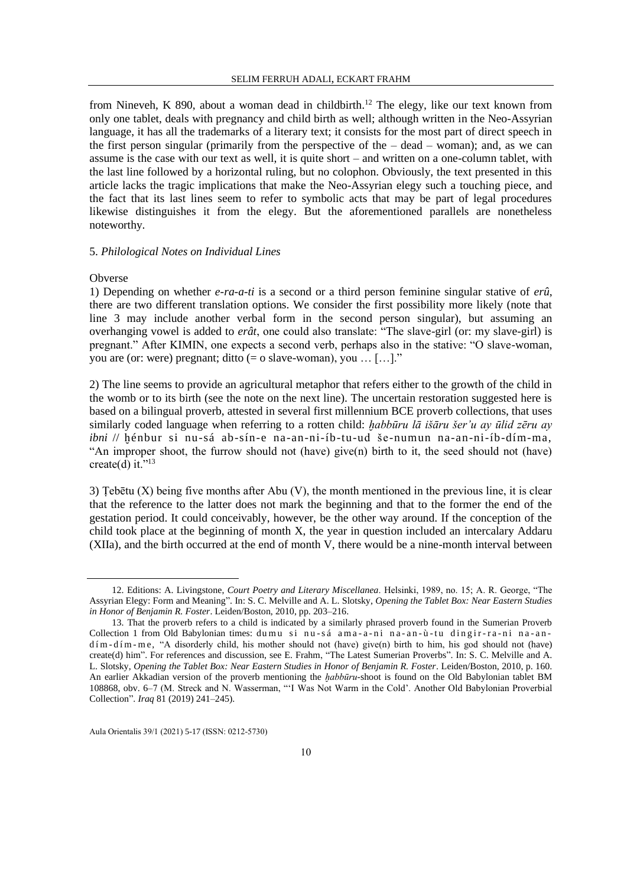from Nineveh, K 890, about a woman dead in childbirth.<sup>12</sup> The elegy, like our text known from only one tablet, deals with pregnancy and child birth as well; although written in the Neo-Assyrian language, it has all the trademarks of a literary text; it consists for the most part of direct speech in the first person singular (primarily from the perspective of the  $-$  dead  $-$  woman); and, as we can assume is the case with our text as well, it is quite short – and written on a one-column tablet, with the last line followed by a horizontal ruling, but no colophon. Obviously, the text presented in this article lacks the tragic implications that make the Neo-Assyrian elegy such a touching piece, and the fact that its last lines seem to refer to symbolic acts that may be part of legal procedures likewise distinguishes it from the elegy. But the aforementioned parallels are nonetheless noteworthy.

### 5. *Philological Notes on Individual Lines*

#### Obverse

1) Depending on whether *e-ra-a-ti* is a second or a third person feminine singular stative of *erû*, there are two different translation options. We consider the first possibility more likely (note that line 3 may include another verbal form in the second person singular), but assuming an overhanging vowel is added to *erât*, one could also translate: "The slave-girl (or: my slave-girl) is pregnant." After KIMIN, one expects a second verb, perhaps also in the stative: "O slave-woman, you are (or: were) pregnant; ditto (= o slave-woman), you … […]."

2) The line seems to provide an agricultural metaphor that refers either to the growth of the child in the womb or to its birth (see the note on the next line). The uncertain restoration suggested here is based on a bilingual proverb, attested in several first millennium BCE proverb collections, that uses similarly coded language when referring to a rotten child: *ḫabbūru lā išāru šer'u ay ūlid zēru ay ibni* // ḫénbur si nu-sá ab-sín-e na-an-ni-íb-tu-ud še-numun na-an-ni-íb-dím-ma, "An improper shoot, the furrow should not (have) give(n) birth to it, the seed should not (have) create(d) it." $^{13}$ 

3) Ṭebētu (X) being five months after Abu (V), the month mentioned in the previous line, it is clear that the reference to the latter does not mark the beginning and that to the former the end of the gestation period. It could conceivably, however, be the other way around. If the conception of the child took place at the beginning of month X, the year in question included an intercalary Addaru (XIIa), and the birth occurred at the end of month V, there would be a nine-month interval between

<sup>12.</sup> Editions: A. Livingstone, *Court Poetry and Literary Miscellanea*. Helsinki, 1989, no. 15; A. R. George, "The Assyrian Elegy: Form and Meaning". In: S. C. Melville and A. L. Slotsky, *Opening the Tablet Box: Near Eastern Studies in Honor of Benjamin R. Foster*. Leiden/Boston, 2010, pp. 203–216.

<sup>13.</sup> That the proverb refers to a child is indicated by a similarly phrased proverb found in the Sumerian Proverb Collection 1 from Old Babylonian times: du mu si nu-sá ama-a-ni na-an-ù-tu dingir-ra-ni na-and í m - d í m - m e, "A disorderly child, his mother should not (have) give(n) birth to him, his god should not (have) create(d) him". For references and discussion, see E. Frahm, "The Latest Sumerian Proverbs". In: S. C. Melville and A. L. Slotsky, *Opening the Tablet Box: Near Eastern Studies in Honor of Benjamin R. Foster*. Leiden/Boston, 2010, p. 160. An earlier Akkadian version of the proverb mentioning the *ḫabbūru-*shoot is found on the Old Babylonian tablet BM 108868, obv. 6–7 (M. Streck and N. Wasserman, "'I Was Not Warm in the Cold'. Another Old Babylonian Proverbial Collection". *Iraq* 81 (2019) 241–245).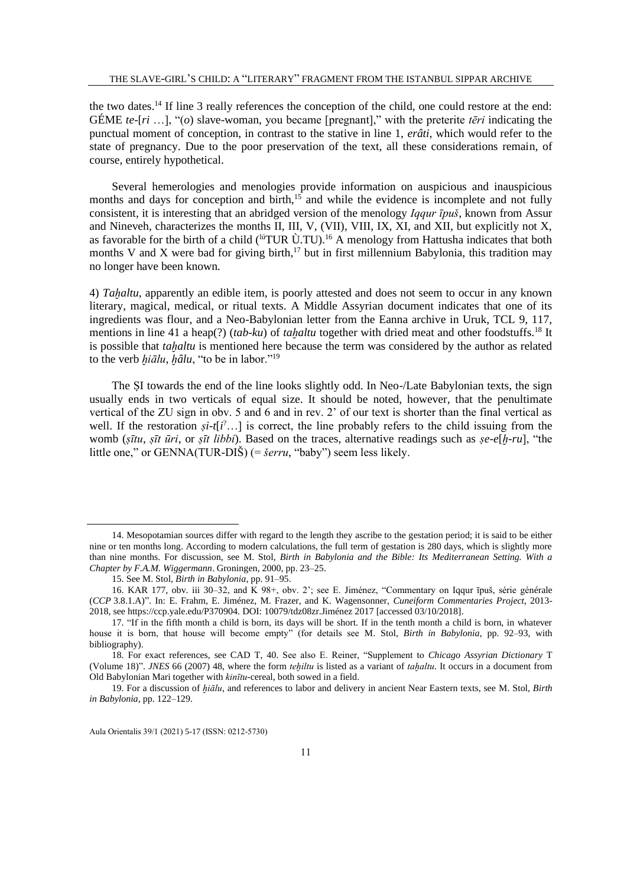the two dates.<sup>14</sup> If line 3 really references the conception of the child, one could restore at the end: GÉME *te*-[*ri* …], "(*o*) slave-woman, you became [pregnant]," with the preterite *tēri* indicating the punctual moment of conception, in contrast to the stative in line 1, *erâti*, which would refer to the state of pregnancy. Due to the poor preservation of the text, all these considerations remain, of course, entirely hypothetical.

Several hemerologies and menologies provide information on auspicious and inauspicious months and days for conception and birth, $15$  and while the evidence is incomplete and not fully consistent, it is interesting that an abridged version of the menology *Iqqur īpuš*, known from Assur and Nineveh, characterizes the months II, III, V, (VII), VIII, IX, XI, and XII, but explicitly not X, as favorable for the birth of a child (<sup>lú</sup>TUR Ù.TU).<sup>16</sup> A menology from Hattusha indicates that both months V and X were bad for giving birth,<sup>17</sup> but in first millennium Babylonia, this tradition may no longer have been known.

4) *Taḫaltu*, apparently an edible item, is poorly attested and does not seem to occur in any known literary, magical, medical, or ritual texts. A Middle Assyrian document indicates that one of its ingredients was flour, and a Neo-Babylonian letter from the Eanna archive in Uruk, TCL 9, 117, mentions in line 41 a heap(?) (*tab-ku*) of *tahaltu* together with dried meat and other foodstuffs.<sup>18</sup> It is possible that *taḫaltu* is mentioned here because the term was considered by the author as related to the verb *ḫiālu*, *ḫâlu*, "to be in labor."<sup>19</sup>

The SI towards the end of the line looks slightly odd. In Neo-/Late Babylonian texts, the sign usually ends in two verticals of equal size. It should be noted, however, that the penultimate vertical of the ZU sign in obv. 5 and 6 and in rev. 2' of our text is shorter than the final vertical as well. If the restoration *ṣi-t*[*i* ?…] is correct, the line probably refers to the child issuing from the womb (*ṣītu*, *ṣīt ūri*, or *ṣīt libbi*). Based on the traces, alternative readings such as *ṣe-e*[*ḫ-ru*], "the little one," or GENNA(TUR-DIŠ) (= *šerru*, "baby") seem less likely.

<sup>14.</sup> Mesopotamian sources differ with regard to the length they ascribe to the gestation period; it is said to be either nine or ten months long. According to modern calculations, the full term of gestation is 280 days, which is slightly more than nine months. For discussion, see M. Stol, *Birth in Babylonia and the Bible: Its Mediterranean Setting. With a Chapter by F.A.M. Wiggermann*. Groningen, 2000, pp. 23–25.

<sup>15.</sup> See M. Stol, *Birth in Babylonia*, pp. 91–95.

<sup>16.</sup> KAR 177, obv. iii 30–32, and K 98+, obv. 2'; see E. Jiménez, "Commentary on Iqqur īpuš, série générale (*CCP* 3.8.1.A)". In: E. Frahm, E. Jiménez, M. Frazer, and K. Wagensonner, *Cuneiform Commentaries Project*, 2013- 2018, see https://ccp.yale.edu/P370904. DOI: [10079/tdz08zr.](https://doi.org/10079/tdz08zr)Jiménez 2017 [accessed 03/10/2018].

<sup>17.</sup> "If in the fifth month a child is born, its days will be short. If in the tenth month a child is born, in whatever house it is born, that house will become empty" (for details see M. Stol, *Birth in Babylonia*, pp. 92–93, with bibliography).

<sup>18.</sup> For exact references, see CAD T, 40. See also E. Reiner, "Supplement to *Chicago Assyrian Dictionary* T (Volume 18)". *JNES* 66 (2007) 48, where the form *teḫiltu* is listed as a variant of *taḫaltu*. It occurs in a document from Old Babylonian Mari together with *kinītu-*cereal, both sowed in a field.

<sup>19.</sup> For a discussion of *ḫiālu*, and references to labor and delivery in ancient Near Eastern texts, see M. Stol, *Birth in Babylonia*, pp. 122–129.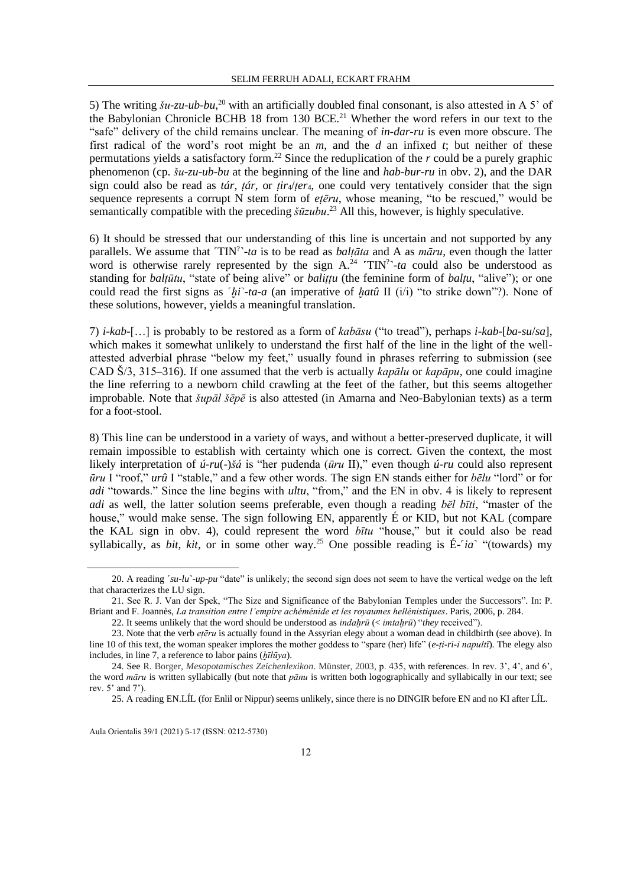5) The writing  $\zeta u$ -zu-ub-bu,<sup>20</sup> with an artificially doubled final consonant, is also attested in A 5' of the Babylonian Chronicle BCHB 18 from 130 BCE.<sup>21</sup> Whether the word refers in our text to the "safe" delivery of the child remains unclear. The meaning of *in-dar-ru* is even more obscure. The first radical of the word's root might be an *m*, and the *d* an infixed *t*; but neither of these permutations yields a satisfactory form.<sup>22</sup> Since the reduplication of the *r* could be a purely graphic phenomenon (cp. *šu-zu-ub-bu* at the beginning of the line and *hab-bur-ru* in obv. 2), and the DAR sign could also be read as *tár*, *tár*, or  $tir<sub>4</sub>/ter<sub>4</sub>$ , one could very tentatively consider that the sign sequence represents a corrupt N stem form of *eṭēru*, whose meaning, "to be rescued," would be semantically compatible with the preceding *šūzubu*. <sup>23</sup> All this, however, is highly speculative.

6) It should be stressed that our understanding of this line is uncertain and not supported by any parallels. We assume that 'TIN<sup>?</sup>'-ta is to be read as *balțāta* and A as *māru*, even though the latter word is otherwise rarely represented by the sign  $A^{24}$   $TIN$ <sup>2+</sup>-ta could also be understood as standing for *balṭūtu*, "state of being alive" or *baliṭṭu* (the feminine form of *balṭu*, "alive"); or one could read the first signs as ˹*ḫi*˺-*ta-a* (an imperative of *ḫatû* II (i/i) "to strike down"?). None of these solutions, however, yields a meaningful translation.

7) *i-kab-*[…] is probably to be restored as a form of *kabāsu* ("to tread"), perhaps *i-kab-*[*ba-su*/*sa*], which makes it somewhat unlikely to understand the first half of the line in the light of the wellattested adverbial phrase "below my feet," usually found in phrases referring to submission (see CAD Š/3, 315–316). If one assumed that the verb is actually *kapālu* or *kapāpu*, one could imagine the line referring to a newborn child crawling at the feet of the father, but this seems altogether improbable. Note that *šupāl šēpē* is also attested (in Amarna and Neo-Babylonian texts) as a term for a foot-stool.

8) This line can be understood in a variety of ways, and without a better-preserved duplicate, it will remain impossible to establish with certainty which one is correct. Given the context, the most likely interpretation of *ú-ru*(-)*šá* is "her pudenda (*ūru* II)," even though *ú-ru* could also represent *ūru* I "roof," *urû* I "stable," and a few other words. The sign EN stands either for *bēlu* "lord" or for *adi* "towards." Since the line begins with *ultu*, "from," and the EN in obv. 4 is likely to represent *adi* as well, the latter solution seems preferable, even though a reading *bēl bīti*, "master of the house," would make sense. The sign following EN, apparently É or KID, but not KAL (compare the KAL sign in obv. 4), could represent the word *bītu* "house," but it could also be read syllabically, as *bit, kit*, or in some other way.<sup>25</sup> One possible reading is É-<sup>r</sup>ia<sup>n</sup> "(towards) my

<sup>20.</sup> A reading *'su-lu'-up-pu* "date" is unlikely; the second sign does not seem to have the vertical wedge on the left that characterizes the LU sign.

<sup>21.</sup> See R. J. Van der Spek, "The Size and Significance of the Babylonian Temples under the Successors". In: P. Briant and F. Joannès, *La transition entre l'empire achéménide et les royaumes hellénistiques*. Paris, 2006, p. 284.

<sup>22.</sup> It seems unlikely that the word should be understood as *indaḫrū* (< *imtaḫrū*) "*they* received").

<sup>23.</sup> Note that the verb *eṭēru* is actually found in the Assyrian elegy about a woman dead in childbirth (see above). In line 10 of this text, the woman speaker implores the mother goddess to "spare (her) life" (*e-ṭi-ri-i napultī*). The elegy also includes, in line 7, a reference to labor pains (*ḫīlūya*).

<sup>24.</sup> See R. Borger, *Mesopotamisches Zeichenlexikon*. Münster, 2003, p. 435, with references. In rev. 3', 4', and 6', the word *māru* is written syllabically (but note that *pānu* is written both logographically and syllabically in our text; see rev. 5' and 7').

<sup>25.</sup> A reading EN.LÍL (for Enlil or Nippur) seems unlikely, since there is no DINGIR before EN and no KI after LÍL.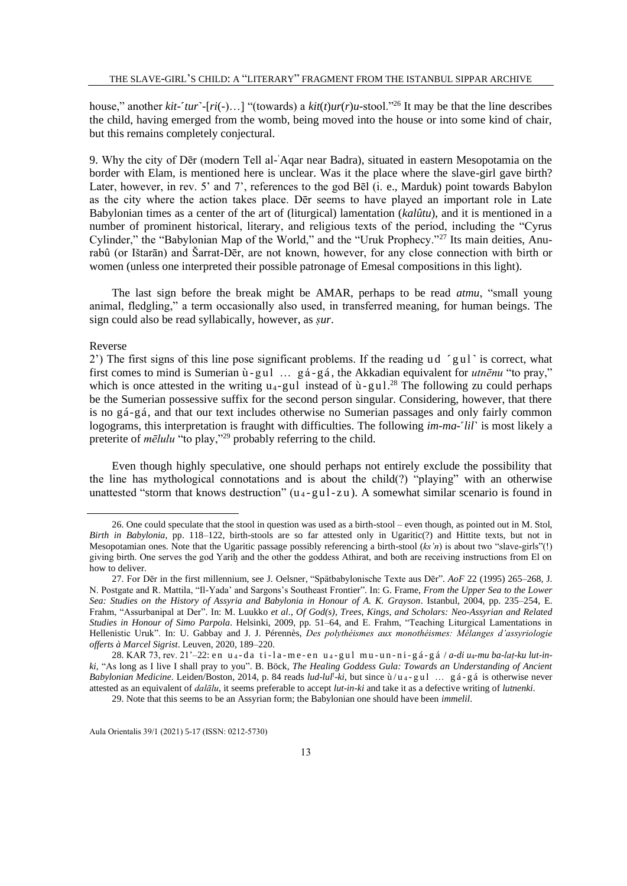house," another *kit-*˹*tur*˺-[*ri*(-)…] "(towards) a *kit*(*t*)*ur*(*r*)*u-*stool."<sup>26</sup> It may be that the line describes the child, having emerged from the womb, being moved into the house or into some kind of chair, but this remains completely conjectural.

9. Why the city of Dēr (modern Tell al- 'Aqar near Badra), situated in eastern Mesopotamia on the border with Elam, is mentioned here is unclear. Was it the place where the slave-girl gave birth? Later, however, in rev. 5' and 7', references to the god Bēl (i. e., Marduk) point towards Babylon as the city where the action takes place. Dēr seems to have played an important role in Late Babylonian times as a center of the art of (liturgical) lamentation (*kalûtu*), and it is mentioned in a number of prominent historical, literary, and religious texts of the period, including the "Cyrus Cylinder," the "Babylonian Map of the World," and the "Uruk Prophecy."<sup>27</sup> Its main deities, Anurabû (or Ištarān) and Šarrat-Dēr, are not known, however, for any close connection with birth or women (unless one interpreted their possible patronage of Emesal compositions in this light).

The last sign before the break might be AMAR, perhaps to be read *atmu*, "small young animal, fledgling," a term occasionally also used, in transferred meaning, for human beings. The sign could also be read syllabically, however, as *ṣur*.

### Reverse

2) The first signs of this line pose significant problems. If the reading ud  $\lceil \text{g} u \rceil \rceil$  is correct, what first comes to mind is Sumerian ù - gul ... gá - gá, the Akkadian equivalent for *utnēnu* "to pray," which is once attested in the writing  $u_4$ -gul instead of  $\dot{u}$ -gul.<sup>28</sup> The following zu could perhaps be the Sumerian possessive suffix for the second person singular. Considering, however, that there is no gá-gá, and that our text includes otherwise no Sumerian passages and only fairly common logograms, this interpretation is fraught with difficulties. The following *im-ma-<sup>r</sup>lil*' is most likely a preterite of *mēlulu* "to play,"<sup>29</sup> probably referring to the child.

Even though highly speculative, one should perhaps not entirely exclude the possibility that the line has mythological connotations and is about the child(?) "playing" with an otherwise unattested "storm that knows destruction" ( $u_4$ -gul-zu). A somewhat similar scenario is found in

<sup>26.</sup> One could speculate that the stool in question was used as a birth-stool – even though, as pointed out in M. Stol, *Birth in Babylonia*, pp. 118–122, birth-stools are so far attested only in Ugaritic(?) and Hittite texts, but not in Mesopotamian ones. Note that the Ugaritic passage possibly referencing a birth-stool (*ks'n*) is about two "slave-girls"(!) giving birth. One serves the god Yariḫ and the other the goddess Athirat, and both are receiving instructions from El on how to deliver.

<sup>27.</sup> For Dēr in the first millennium, see J. Oelsner, "Spätbabylonische Texte aus Dēr". *AoF* 22 (1995) 265–268, J. N. Postgate and R. Mattila, "Il-Yada' and Sargons's Southeast Frontier". In: G. Frame, *From the Upper Sea to the Lower Sea: Studies on the History of Assyria and Babylonia in Honour of A. K. Grayson*. Istanbul, 2004, pp. 235–254, E. Frahm, "Assurbanipal at Der". In: M. Luukko *et al*., *Of God(s), Trees, Kings, and Scholars: Neo-Assyrian and Related Studies in Honour of Simo Parpola*. Helsinki, 2009, pp. 51–64, and E. Frahm, "Teaching Liturgical Lamentations in Hellenistic Uruk". In: U. Gabbay and J. J. Pérennès, *Des polythéismes aux monothéismes: Mélanges d'assyriologie offerts à Marcel Sigrist*. Leuven, 2020, 189–220.

<sup>28.</sup> KAR 73, rev. 21'-22: en u<sub>4</sub>-da ti-la-me-en u<sub>4</sub>-gul mu-un-ni-gá-gá / *a-di u<sub>4</sub>-mu ba-lat-ku lut-inki*, "As long as I live I shall pray to you". B. Böck, *The Healing Goddess Gula: Towards an Understanding of Ancient Babylonian Medicine*. Leiden/Boston, 2014, p. 84 reads *lud-lul<sup>1</sup>-ki*, but since ù/u<sub>4</sub>-gul ... gá-gá is otherwise never attested as an equivalent of *dalālu*, it seems preferable to accept *lut-in-ki* and take it as a defective writing of *lutnenki*.

<sup>29.</sup> Note that this seems to be an Assyrian form; the Babylonian one should have been *immelil*.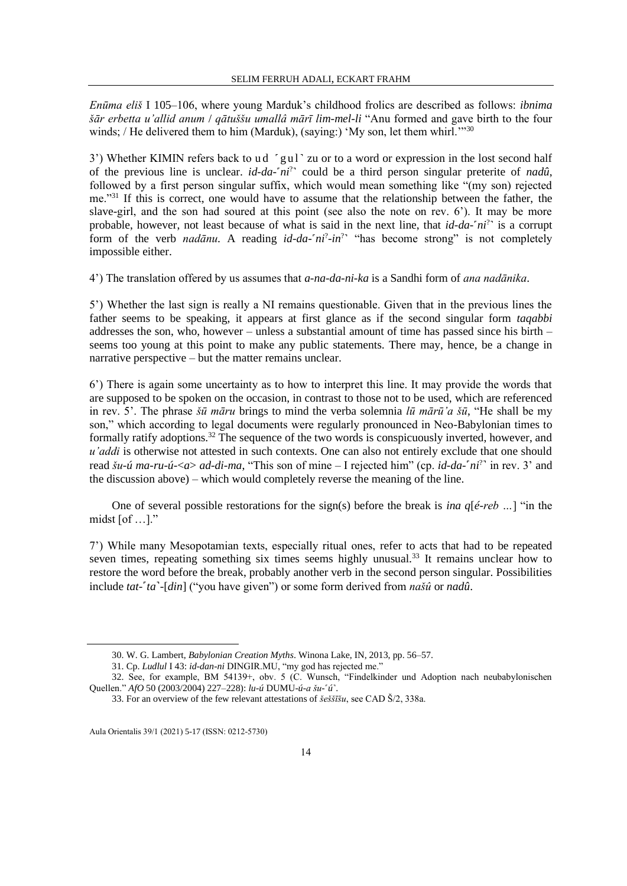*Enūma eliš* I 105–106, where young Marduk's childhood frolics are described as follows: *ibnima šār erbetta u'allid anum* / *qātuššu umallâ mārī lim-mel-li* "Anu formed and gave birth to the four winds; / He delivered them to him (Marduk), (saying:) 'My son, let them whirl.'"30

3') Whether KIMIN refers back to ud 'gul' zu or to a word or expression in the lost second half of the previous line is unclear. *id-da-'ni*<sup>?</sup>' could be a third person singular preterite of *nadû*, followed by a first person singular suffix, which would mean something like "(my son) rejected me."<sup>31</sup> If this is correct, one would have to assume that the relationship between the father, the slave-girl, and the son had soured at this point (see also the note on rev. 6'). It may be more probable, however, not least because of what is said in the next line, that *id-da-'ni*<sup>?</sup>' is a corrupt form of the verb *nadānu*. A reading *id-da-'ni<sup>2</sup>-in*<sup>2</sup> "has become strong" is not completely impossible either.

4') The translation offered by us assumes that *a-na-da-ni-ka* is a Sandhi form of *ana nadānika*.

5') Whether the last sign is really a NI remains questionable. Given that in the previous lines the father seems to be speaking, it appears at first glance as if the second singular form *taqabbi* addresses the son, who, however – unless a substantial amount of time has passed since his birth – seems too young at this point to make any public statements. There may, hence, be a change in narrative perspective – but the matter remains unclear.

6') There is again some uncertainty as to how to interpret this line. It may provide the words that are supposed to be spoken on the occasion, in contrast to those not to be used, which are referenced in rev. 5'. The phrase *šū māru* brings to mind the verba solemnia *lū mārū'a šū*, "He shall be my son," which according to legal documents were regularly pronounced in Neo-Babylonian times to formally ratify adoptions.<sup>32</sup> The sequence of the two words is conspicuously inverted, however, and *u'addi* is otherwise not attested in such contexts. One can also not entirely exclude that one should read *šu-ú ma-ru-ú-<a> ad-di-ma*, "This son of mine – I rejected him" (cp. *id-da-'ni*<sup>?</sup>' in rev. 3' and the discussion above) – which would completely reverse the meaning of the line.

One of several possible restorations for the sign(s) before the break is *ina q*[*é-reb …*] "in the midst [of …]."

7') While many Mesopotamian texts, especially ritual ones, refer to acts that had to be repeated seven times, repeating something six times seems highly unusual.<sup>33</sup> It remains unclear how to restore the word before the break, probably another verb in the second person singular. Possibilities include *tat*-˹*ta*˺-[*din*] ("you have given") or some form derived from *našû* or *nadû*.

<sup>30.</sup> W. G. Lambert, *Babylonian Creation Myths*. Winona Lake, IN, 2013, pp. 56–57.

<sup>31.</sup> Cp. *Ludlul* I 43: *id-dan-ni* DINGIR.MU, "my god has rejected me."

<sup>32.</sup> See, for example, BM 54139+, obv. 5 (C. Wunsch, "Findelkinder und Adoption nach neubabylonischen Quellen." *AfO* 50 (2003/2004) 227–228): *lu-ú* DUMU-*ú-a šu*-˹*ú*˺.

<sup>33.</sup> For an overview of the few relevant attestations of *šeššīšu*, see CAD Š/2, 338a.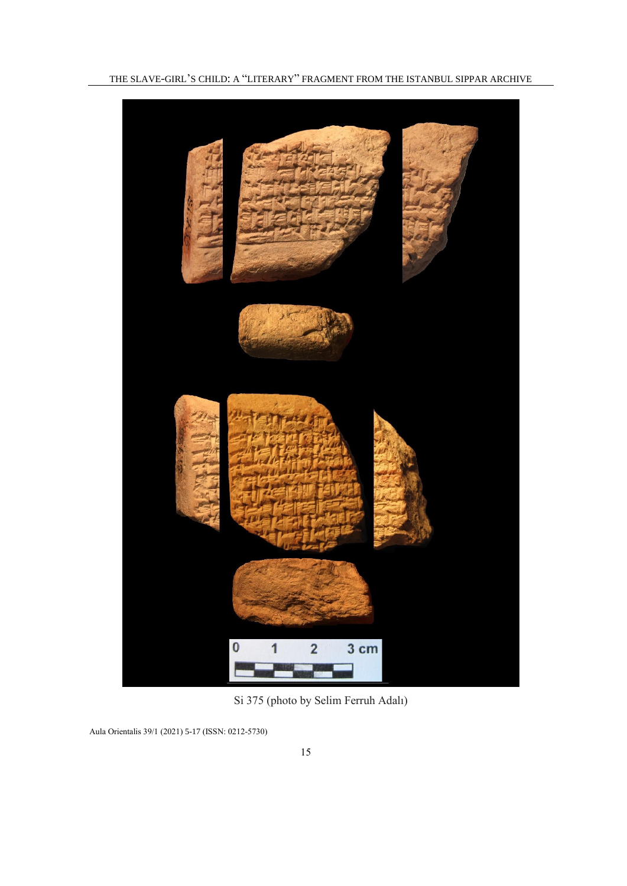

Si 375 (photo by Selim Ferruh Adalı)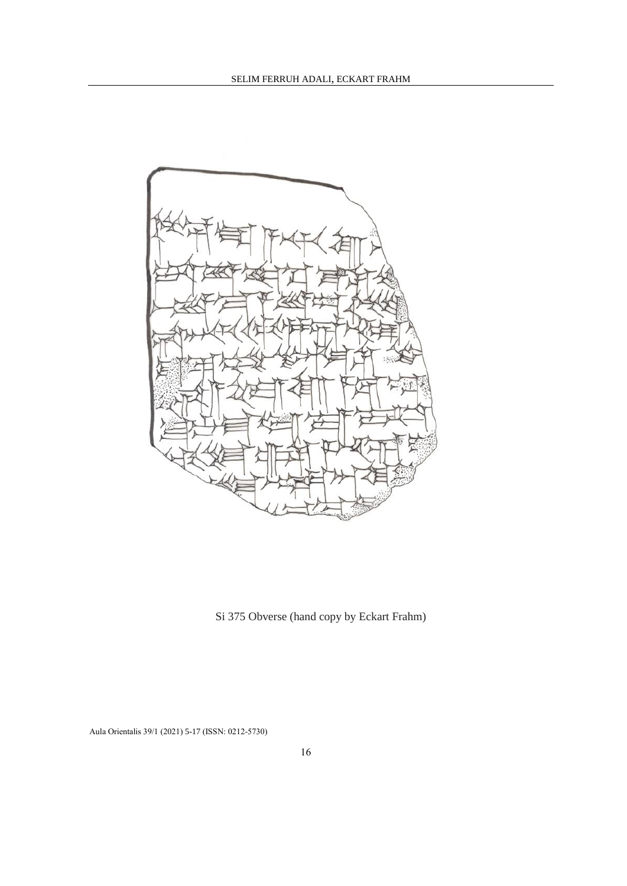

Si 375 Obverse (hand copy by Eckart Frahm)